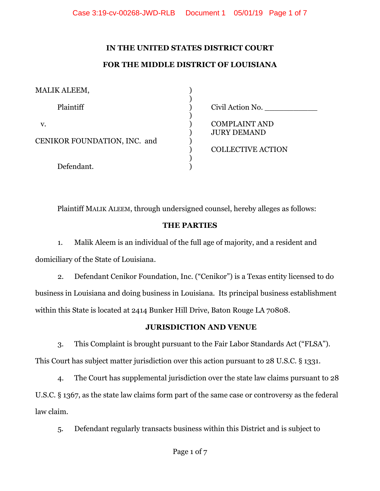# **IN THE UNITED STATES DISTRICT COURT**

### **FOR THE MIDDLE DISTRICT OF LOUISIANA**

| MALIK ALEEM,                       |                                            |
|------------------------------------|--------------------------------------------|
| Plaintiff                          | Civil Action No.                           |
| V.<br>CENIKOR FOUNDATION, INC. and | <b>COMPLAINT AND</b><br><b>JURY DEMAND</b> |
|                                    | <b>COLLECTIVE ACTION</b>                   |
| Defendant.                         |                                            |

Plaintiff MALIK ALEEM, through undersigned counsel, hereby alleges as follows:

#### **THE PARTIES**

1. Malik Aleem is an individual of the full age of majority, and a resident and domiciliary of the State of Louisiana.

2. Defendant Cenikor Foundation, Inc. ("Cenikor") is a Texas entity licensed to do business in Louisiana and doing business in Louisiana. Its principal business establishment within this State is located at 2414 Bunker Hill Drive, Baton Rouge LA 70808.

#### **JURISDICTION AND VENUE**

3. This Complaint is brought pursuant to the Fair Labor Standards Act ("FLSA"). This Court has subject matter jurisdiction over this action pursuant to 28 U.S.C. § 1331.

4. The Court has supplemental jurisdiction over the state law claims pursuant to 28 U.S.C. § 1367, as the state law claims form part of the same case or controversy as the federal law claim.

5. Defendant regularly transacts business within this District and is subject to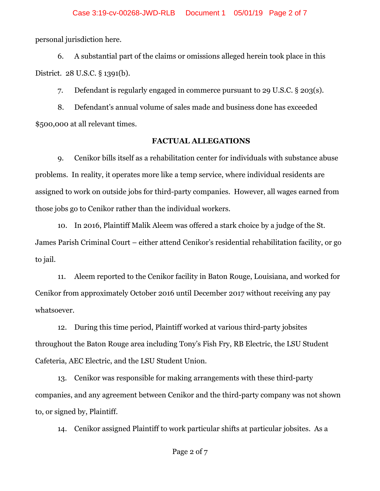personal jurisdiction here.

6. A substantial part of the claims or omissions alleged herein took place in this District. 28 U.S.C. § 1391(b).

7. Defendant is regularly engaged in commerce pursuant to 29 U.S.C. § 203(s).

8. Defendant's annual volume of sales made and business done has exceeded \$500,000 at all relevant times.

#### **FACTUAL ALLEGATIONS**

9. Cenikor bills itself as a rehabilitation center for individuals with substance abuse problems. In reality, it operates more like a temp service, where individual residents are assigned to work on outside jobs for third-party companies. However, all wages earned from those jobs go to Cenikor rather than the individual workers.

10. In 2016, Plaintiff Malik Aleem was offered a stark choice by a judge of the St. James Parish Criminal Court – either attend Cenikor's residential rehabilitation facility, or go to jail.

11. Aleem reported to the Cenikor facility in Baton Rouge, Louisiana, and worked for Cenikor from approximately October 2016 until December 2017 without receiving any pay whatsoever.

12. During this time period, Plaintiff worked at various third-party jobsites throughout the Baton Rouge area including Tony's Fish Fry, RB Electric, the LSU Student Cafeteria, AEC Electric, and the LSU Student Union.

13. Cenikor was responsible for making arrangements with these third-party companies, and any agreement between Cenikor and the third-party company was not shown to, or signed by, Plaintiff.

14. Cenikor assigned Plaintiff to work particular shifts at particular jobsites. As a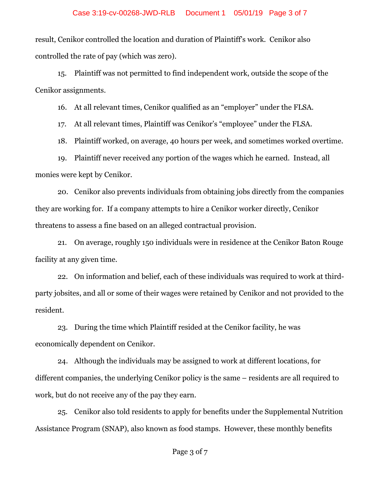result, Cenikor controlled the location and duration of Plaintiff's work. Cenikor also controlled the rate of pay (which was zero).

15. Plaintiff was not permitted to find independent work, outside the scope of the Cenikor assignments.

16. At all relevant times, Cenikor qualified as an "employer" under the FLSA.

17. At all relevant times, Plaintiff was Cenikor's "employee" under the FLSA.

18. Plaintiff worked, on average, 40 hours per week, and sometimes worked overtime.

19. Plaintiff never received any portion of the wages which he earned. Instead, all monies were kept by Cenikor.

20. Cenikor also prevents individuals from obtaining jobs directly from the companies they are working for. If a company attempts to hire a Cenikor worker directly, Cenikor threatens to assess a fine based on an alleged contractual provision.

21. On average, roughly 150 individuals were in residence at the Cenikor Baton Rouge facility at any given time.

22. On information and belief, each of these individuals was required to work at thirdparty jobsites, and all or some of their wages were retained by Cenikor and not provided to the resident.

23. During the time which Plaintiff resided at the Cenikor facility, he was economically dependent on Cenikor.

24. Although the individuals may be assigned to work at different locations, for different companies, the underlying Cenikor policy is the same – residents are all required to work, but do not receive any of the pay they earn.

25. Cenikor also told residents to apply for benefits under the Supplemental Nutrition Assistance Program (SNAP), also known as food stamps. However, these monthly benefits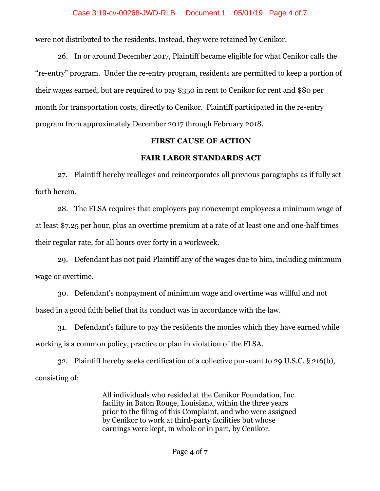were not distributed to the residents. Instead, they were retained by Cenikor.

26. In or around December 2017, Plaintiff became eligible for what Cenikor calls the "re-entry" program. Under the re-entry program, residents are permitted to keep a portion of their wages earned, but are required to pay \$350 in rent to Cenikor for rent and \$80 per month for transportation costs, directly to Cenikor. Plaintiff participated in the re-entry program from approximately December 2017 through February 2018.

#### **FIRST CAUSE OF ACTION**

#### **FAIR LABOR STANDARDS ACT**

27. Plaintiff hereby realleges and reincorporates all previous paragraphs as if fully set forth herein.

28. The FLSA requires that employers pay nonexempt employees a minimum wage of at least \$7.25 per hour, plus an overtime premium at a rate of at least one and one-half times their regular rate, for all hours over forty in a workweek.

29. Defendant has not paid Plaintiff any of the wages due to him, including minimum wage or overtime.

30. Defendant's nonpayment of minimum wage and overtime was willful and not based in a good faith belief that its conduct was in accordance with the law.

31. Defendant's failure to pay the residents the monies which they have earned while working is a common policy, practice or plan in violation of the FLSA.

32. Plaintiff hereby seeks certification of a collective pursuant to 29 U.S.C. § 216(b), consisting of:

> All individuals who resided at the Cenikor Foundation, Inc. facility in Baton Rouge, Louisiana, within the three years prior to the filing of this Complaint, and who were assigned by Cenikor to work at third-party facilities but whose earnings were kept, in whole or in part, by Cenikor.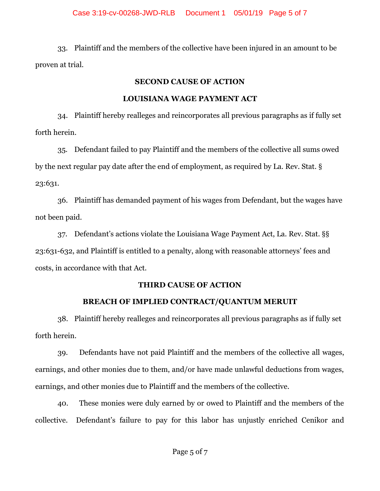33. Plaintiff and the members of the collective have been injured in an amount to be proven at trial.

# **SECOND CAUSE OF ACTION**

# **LOUISIANA WAGE PAYMENT ACT**

34. Plaintiff hereby realleges and reincorporates all previous paragraphs as if fully set forth herein.

35. Defendant failed to pay Plaintiff and the members of the collective all sums owed by the next regular pay date after the end of employment, as required by La. Rev. Stat. § 23:631.

36. Plaintiff has demanded payment of his wages from Defendant, but the wages have not been paid.

37. Defendant's actions violate the Louisiana Wage Payment Act, La. Rev. Stat. §§ 23:631-632, and Plaintiff is entitled to a penalty, along with reasonable attorneys' fees and costs, in accordance with that Act.

# **THIRD CAUSE OF ACTION**

# **BREACH OF IMPLIED CONTRACT/QUANTUM MERUIT**

38. Plaintiff hereby realleges and reincorporates all previous paragraphs as if fully set forth herein.

39. Defendants have not paid Plaintiff and the members of the collective all wages, earnings, and other monies due to them, and/or have made unlawful deductions from wages, earnings, and other monies due to Plaintiff and the members of the collective.

40. These monies were duly earned by or owed to Plaintiff and the members of the collective. Defendant's failure to pay for this labor has unjustly enriched Cenikor and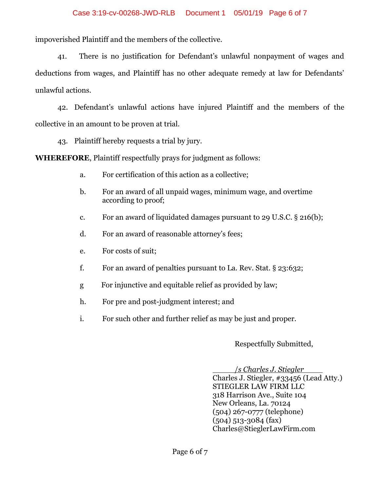impoverished Plaintiff and the members of the collective.

41. There is no justification for Defendant's unlawful nonpayment of wages and deductions from wages, and Plaintiff has no other adequate remedy at law for Defendants' unlawful actions.

42. Defendant's unlawful actions have injured Plaintiff and the members of the collective in an amount to be proven at trial.

43. Plaintiff hereby requests a trial by jury.

**WHEREFORE**, Plaintiff respectfully prays for judgment as follows:

- a. For certification of this action as a collective;
- b. For an award of all unpaid wages, minimum wage, and overtime according to proof;
- c. For an award of liquidated damages pursuant to 29 U.S.C. § 216(b);
- d. For an award of reasonable attorney's fees;
- e. For costs of suit;
- f. For an award of penalties pursuant to La. Rev. Stat.  $\S$  23:632;
- g For injunctive and equitable relief as provided by law;
- h. For pre and post-judgment interest; and
- i. For such other and further relief as may be just and proper.

Respectfully Submitted,

 / *s Charles J. Stiegler* Charles J. Stiegler, #33456 (Lead Atty.) STIEGLER LAW FIRM LLC 318 Harrison Ave., Suite 104 New Orleans, La. 70124 (504) 267-0777 (telephone) (504) 513-3084 (fax) Charles@StieglerLawFirm.com